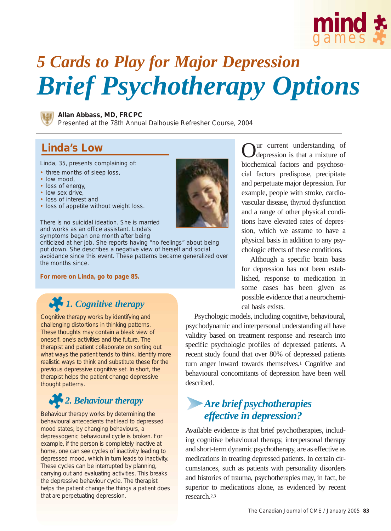

# *5 Cards to Play for Major Depression Brief Psychotherapy Options*



**Allan Abbass, MD, FRCPC**

Presented at the 78th Annual Dalhousie Refresher Course, 2004

#### **Linda's Low**

Linda, 35, presents complaining of:

- three months of sleep loss,
- low mood,
- loss of energy,
- low sex drive,
- loss of interest and
- loss of appetite without weight loss.

There is no suicidal ideation. She is married and works as an office assistant. Linda's symptoms began one month after being

criticized at her job. She reports having "no feelings" about being put down. She describes a negative view of herself and social avoidance since this event. These patterns became generalized over the months since.

**For more on Linda, go to page 85.**

### *1. Cognitive therapy*

Cognitive therapy works by identifying and challenging distortions in thinking patterns. These thoughts may contain a bleak view of oneself, one's activities and the future. The therapist and patient collaborate on sorting out what ways the patient tends to think, identify more realistic ways to think and substitute these for the previous depressive cognitive set. In short, the therapist helps the patient change depressive thought patterns.

## *2. Behaviour therapy*

Behaviour therapy works by determining the behavioural antecedents that lead to depressed mood states; by changing behaviours, a depressogenic behavioural cycle is broken. For example, if the person is completely inactive at home, one can see cycles of inactivity leading to depressed mood, which in turn leads to inactivity. These cycles can be interrupted by planning, carrying out and evaluating activities. This breaks the depressive behaviour cycle. The therapist helps the patient change the things a patient does that are perpetuating depression.



ur current understanding of depression is that a mixture of biochemical factors and psychosocial factors predispose, precipitate and perpetuate major depression. For example, people with stroke, cardiovascular disease, thyroid dysfunction and a range of other physical conditions have elevated rates of depression, which we assume to have a physical basis in addition to any psychologic effects of these conditions.

Although a specific brain basis for depression has not been established, response to medication in some cases has been given as possible evidence that a neurochemical basis exists.

Psychologic models, including cognitive, behavioural, psychodynamic and interpersonal understanding all have validity based on treatment response and research into specific psychologic profiles of depressed patients. A recent study found that over 80% of depressed patients turn anger inward towards themselves.1 Cognitive and behavioural concomitants of depression have been well described.

### *Are brief psychotherapies effective in depression?*

Available evidence is that brief psychotherapies, including cognitive behavioural therapy, interpersonal therapy and short-term dynamic psychotherapy, are as effective as medications in treating depressed patients. In certain circumstances, such as patients with personality disorders and histories of trauma, psychotherapies may, in fact, be superior to medications alone, as evidenced by recent research.2,3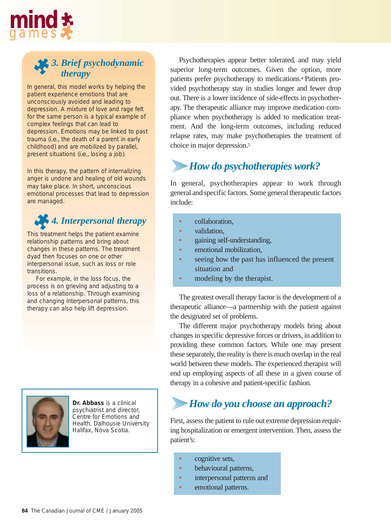

#### *3. Brief psychodynamic therapy*

In general, this model works by helping the patient experience emotions that are unconsciously avoided and leading to depression. A mixture of love and rage felt for the same person is a typical example of complex feelings that can lead to depression. Emotions may be linked to past trauma (*i.e.,* the death of a parent in early childhood) and are mobilized by parallel, present situations (*i.e.,* losing a job).

In this therapy, the pattern of internalizing anger is undone and healing of old wounds may take place. In short, unconscious emotional processes that lead to depression are managed.

### *4. Interpersonal therapy*

This treatment helps the patient examine relationship patterns and bring about changes in these patterns. The treatment dyad then focuses on one or other interpersonal issue, such as loss or role transitions.

For example, in the loss focus, the process is on grieving and adjusting to a loss of a relationship. Through examining and changing interpersonal patterns, this therapy can also help lift depression.



**Dr. Abbass** is a clinical psychiatrist and director, Centre for Emotions and Health, Dalhousie University Halifax, Nova Scotia.

Psychotherapies appear better tolerated, and may yield superior long-term outcomes. Given the option, more patients prefer psychotherapy to medications.4 Patients provided psychotherapy stay in studies longer and fewer drop out. There is a lower incidence of side-effects in psychotherapy. The therapeutic alliance may improve medication compliance when psychotherapy is added to medication treatment. And the long-term outcomes, including reduced relapse rates, may make psychotherapies the treatment of choice in major depression.5

### *How do psychotherapies work?*

In general, psychotherapies appear to work through general and specific factors. Some general therapeutic factors include:

- collaboration,
- validation,
- gaining self-understanding,
- emotional mobilization.
- seeing how the past has influenced the present situation and
- modeling by the therapist.

The greatest overall therapy factor is the development of a therapeutic alliance—a partnership with the patient against the designated set of problems.

The different major psychotherapy models bring about changes in specific depressive forces or drivers, in addition to providing these common factors. While one may present these separately, the reality is there is much overlap in the real world between these models. The experienced therapist will end up employing aspects of all these in a given course of therapy in a cohesive and patient-specific fashion.

### *How do you choose an approach?*

First, assess the patient to rule out extreme depression requiring hospitalization or emergent intervention. Then, assess the patient's:

- cognitive sets,
- behavioural patterns,
- interpersonal patterns and
- emotional patterns.